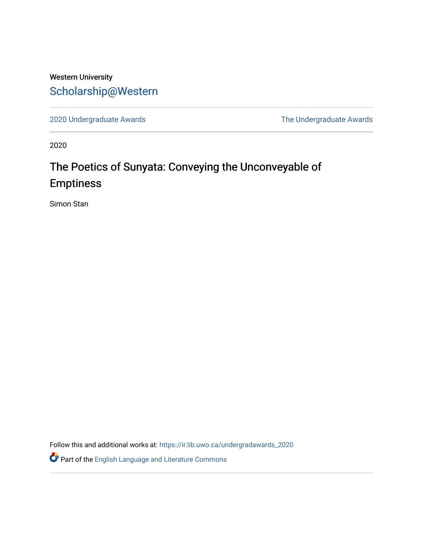## Western University [Scholarship@Western](https://ir.lib.uwo.ca/)

[2020 Undergraduate Awards](https://ir.lib.uwo.ca/undergradawards_2020) [The Undergraduate Awards](https://ir.lib.uwo.ca/ungradawards) 

2020

# The Poetics of Sunyata: Conveying the Unconveyable of Emptiness

Simon Stan

Follow this and additional works at: [https://ir.lib.uwo.ca/undergradawards\\_2020](https://ir.lib.uwo.ca/undergradawards_2020?utm_source=ir.lib.uwo.ca%2Fundergradawards_2020%2F3&utm_medium=PDF&utm_campaign=PDFCoverPages) 

Part of the [English Language and Literature Commons](http://network.bepress.com/hgg/discipline/455?utm_source=ir.lib.uwo.ca%2Fundergradawards_2020%2F3&utm_medium=PDF&utm_campaign=PDFCoverPages)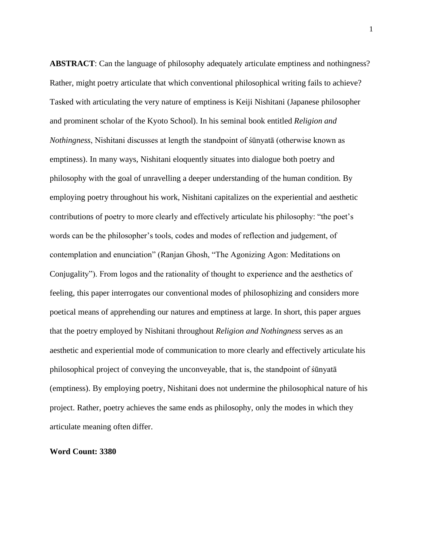**ABSTRACT**: Can the language of philosophy adequately articulate emptiness and nothingness? Rather, might poetry articulate that which conventional philosophical writing fails to achieve? Tasked with articulating the very nature of emptiness is Keiji Nishitani (Japanese philosopher and prominent scholar of the Kyoto School). In his seminal book entitled *Religion and Nothingness*, Nishitani discusses at length the standpoint of śūnyatā (otherwise known as emptiness). In many ways, Nishitani eloquently situates into dialogue both poetry and philosophy with the goal of unravelling a deeper understanding of the human condition. By employing poetry throughout his work, Nishitani capitalizes on the experiential and aesthetic contributions of poetry to more clearly and effectively articulate his philosophy: "the poet's words can be the philosopher's tools, codes and modes of reflection and judgement, of contemplation and enunciation" (Ranjan Ghosh, "The Agonizing Agon: Meditations on Conjugality"). From logos and the rationality of thought to experience and the aesthetics of feeling, this paper interrogates our conventional modes of philosophizing and considers more poetical means of apprehending our natures and emptiness at large. In short, this paper argues that the poetry employed by Nishitani throughout *Religion and Nothingness* serves as an aesthetic and experiential mode of communication to more clearly and effectively articulate his philosophical project of conveying the unconveyable, that is, the standpoint of śūnyatā (emptiness). By employing poetry, Nishitani does not undermine the philosophical nature of his project. Rather, poetry achieves the same ends as philosophy, only the modes in which they articulate meaning often differ.

### **Word Count: 3380**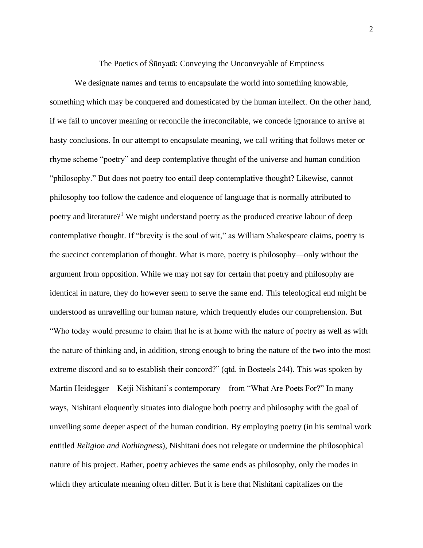The Poetics of Śūnyatā: Conveying the Unconveyable of Emptiness

We designate names and terms to encapsulate the world into something knowable, something which may be conquered and domesticated by the human intellect. On the other hand, if we fail to uncover meaning or reconcile the irreconcilable, we concede ignorance to arrive at hasty conclusions. In our attempt to encapsulate meaning, we call writing that follows meter or rhyme scheme "poetry" and deep contemplative thought of the universe and human condition "philosophy." But does not poetry too entail deep contemplative thought? Likewise, cannot philosophy too follow the cadence and eloquence of language that is normally attributed to poetry and literature?<sup>1</sup> We might understand poetry as the produced creative labour of deep contemplative thought. If "brevity is the soul of wit," as William Shakespeare claims, poetry is the succinct contemplation of thought. What is more, poetry is philosophy—only without the argument from opposition. While we may not say for certain that poetry and philosophy are identical in nature, they do however seem to serve the same end. This teleological end might be understood as unravelling our human nature, which frequently eludes our comprehension. But "Who today would presume to claim that he is at home with the nature of poetry as well as with the nature of thinking and, in addition, strong enough to bring the nature of the two into the most extreme discord and so to establish their concord?" (qtd. in Bosteels 244). This was spoken by Martin Heidegger—Keiji Nishitani's contemporary—from "What Are Poets For?" In many ways, Nishitani eloquently situates into dialogue both poetry and philosophy with the goal of unveiling some deeper aspect of the human condition. By employing poetry (in his seminal work entitled *Religion and Nothingness*), Nishitani does not relegate or undermine the philosophical nature of his project. Rather, poetry achieves the same ends as philosophy, only the modes in which they articulate meaning often differ. But it is here that Nishitani capitalizes on the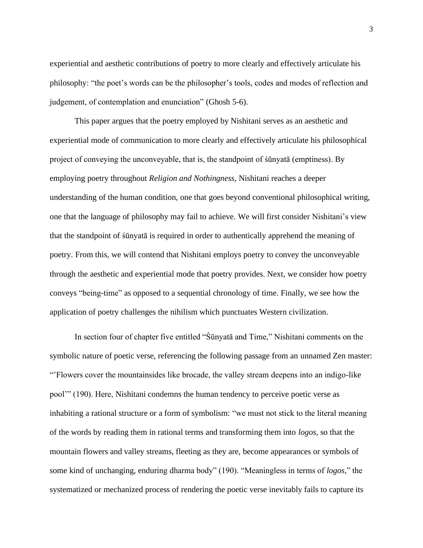experiential and aesthetic contributions of poetry to more clearly and effectively articulate his philosophy: "the poet's words can be the philosopher's tools, codes and modes of reflection and judgement, of contemplation and enunciation" (Ghosh 5-6).

This paper argues that the poetry employed by Nishitani serves as an aesthetic and experiential mode of communication to more clearly and effectively articulate his philosophical project of conveying the unconveyable, that is, the standpoint of śūnyatā (emptiness). By employing poetry throughout *Religion and Nothingness*, Nishitani reaches a deeper understanding of the human condition, one that goes beyond conventional philosophical writing, one that the language of philosophy may fail to achieve. We will first consider Nishitani's view that the standpoint of śūnyatā is required in order to authentically apprehend the meaning of poetry. From this, we will contend that Nishitani employs poetry to convey the unconveyable through the aesthetic and experiential mode that poetry provides. Next, we consider how poetry conveys "being-time" as opposed to a sequential chronology of time. Finally, we see how the application of poetry challenges the nihilism which punctuates Western civilization.

In section four of chapter five entitled "Śūnyatā and Time," Nishitani comments on the symbolic nature of poetic verse, referencing the following passage from an unnamed Zen master: "'Flowers cover the mountainsides like brocade, the valley stream deepens into an indigo-like pool'" (190). Here, Nishitani condemns the human tendency to perceive poetic verse as inhabiting a rational structure or a form of symbolism: "we must not stick to the literal meaning of the words by reading them in rational terms and transforming them into *logos*, so that the mountain flowers and valley streams, fleeting as they are, become appearances or symbols of some kind of unchanging, enduring dharma body" (190). "Meaningless in terms of *logos*," the systematized or mechanized process of rendering the poetic verse inevitably fails to capture its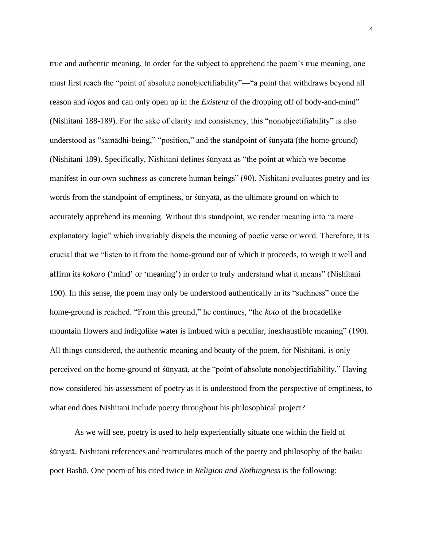true and authentic meaning. In order for the subject to apprehend the poem's true meaning, one must first reach the "point of absolute nonobjectifiability"—"a point that withdraws beyond all reason and *logos* and can only open up in the *Existenz* of the dropping off of body-and-mind" (Nishitani 188-189). For the sake of clarity and consistency, this "nonobjectifiability" is also understood as "samādhi-being," "position," and the standpoint of śūnyatā (the home-ground) (Nishitani 189). Specifically, Nishitani defines śūnyatā as "the point at which we become manifest in our own suchness as concrete human beings" (90). Nishitani evaluates poetry and its words from the standpoint of emptiness, or śūnyatā, as the ultimate ground on which to accurately apprehend its meaning. Without this standpoint, we render meaning into "a mere explanatory logic" which invariably dispels the meaning of poetic verse or word. Therefore, it is crucial that we "listen to it from the home-ground out of which it proceeds, to weigh it well and affirm its *kokoro* ('mind' or 'meaning') in order to truly understand what it means" (Nishitani 190). In this sense, the poem may only be understood authentically in its "suchness" once the home-ground is reached. "From this ground," he continues, "the *koto* of the brocadelike mountain flowers and indigolike water is imbued with a peculiar, inexhaustible meaning" (190). All things considered, the authentic meaning and beauty of the poem, for Nishitani, is only perceived on the home-ground of śūnyatā, at the "point of absolute nonobjectifiability." Having now considered his assessment of poetry as it is understood from the perspective of emptiness, to what end does Nishitani include poetry throughout his philosophical project?

As we will see, poetry is used to help experientially situate one within the field of śūnyatā. Nishitani references and rearticulates much of the poetry and philosophy of the haiku poet Bashō. One poem of his cited twice in *Religion and Nothingness* is the following: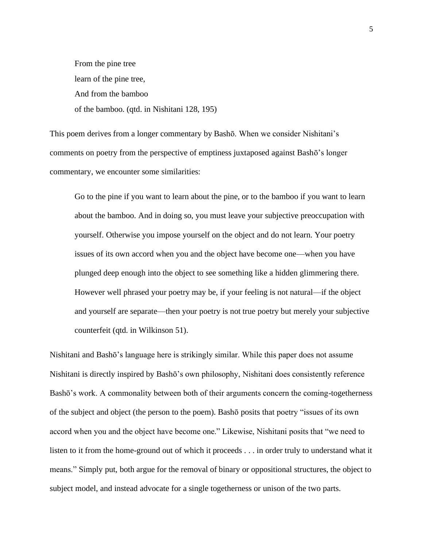From the pine tree learn of the pine tree, And from the bamboo of the bamboo. (qtd. in Nishitani 128, 195)

This poem derives from a longer commentary by Bashō. When we consider Nishitani's comments on poetry from the perspective of emptiness juxtaposed against Bashō's longer commentary, we encounter some similarities:

Go to the pine if you want to learn about the pine, or to the bamboo if you want to learn about the bamboo. And in doing so, you must leave your subjective preoccupation with yourself. Otherwise you impose yourself on the object and do not learn. Your poetry issues of its own accord when you and the object have become one—when you have plunged deep enough into the object to see something like a hidden glimmering there. However well phrased your poetry may be, if your feeling is not natural—if the object and yourself are separate—then your poetry is not true poetry but merely your subjective counterfeit (qtd. in Wilkinson 51).

Nishitani and Bashō's language here is strikingly similar. While this paper does not assume Nishitani is directly inspired by Bashō's own philosophy, Nishitani does consistently reference Bashō's work. A commonality between both of their arguments concern the coming-togetherness of the subject and object (the person to the poem). Bashō posits that poetry "issues of its own accord when you and the object have become one." Likewise, Nishitani posits that "we need to listen to it from the home-ground out of which it proceeds . . . in order truly to understand what it means." Simply put, both argue for the removal of binary or oppositional structures, the object to subject model, and instead advocate for a single togetherness or unison of the two parts.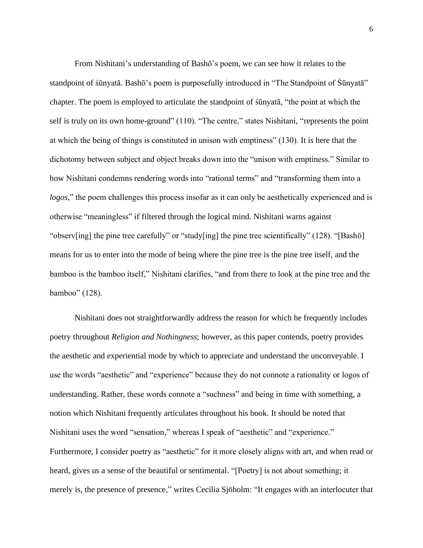From Nishitani's understanding of Bashō's poem, we can see how it relates to the standpoint of śūnyatā. Bashō's poem is purposefully introduced in "The Standpoint of Śūnyatā" chapter. The poem is employed to articulate the standpoint of śūnyatā, "the point at which the self is truly on its own home-ground" (110). "The centre," states Nishitani, "represents the point at which the being of things is constituted in unison with emptiness" (130). It is here that the dichotomy between subject and object breaks down into the "unison with emptiness." Similar to how Nishitani condemns rendering words into "rational terms" and "transforming them into a *logos*," the poem challenges this process insofar as it can only be aesthetically experienced and is otherwise "meaningless" if filtered through the logical mind. Nishitani warns against "observ[ing] the pine tree carefully" or "study[ing] the pine tree scientifically" (128). "[Bashō] means for us to enter into the mode of being where the pine tree is the pine tree itself, and the bamboo is the bamboo itself," Nishitani clarifies, "and from there to look at the pine tree and the bamboo" (128).

Nishitani does not straightforwardly address the reason for which he frequently includes poetry throughout *Religion and Nothingness*; however, as this paper contends, poetry provides the aesthetic and experiential mode by which to appreciate and understand the unconveyable. I use the words "aesthetic" and "experience" because they do not connote a rationality or logos of understanding. Rather, these words connote a "suchness" and being in time with something, a notion which Nishitani frequently articulates throughout his book. It should be noted that Nishitani uses the word "sensation," whereas I speak of "aesthetic" and "experience." Furthermore, I consider poetry as "aesthetic" for it more closely aligns with art, and when read or heard, gives us a sense of the beautiful or sentimental. "[Poetry] is not about something; it merely is, the presence of presence," writes Cecilia Sjöholm: "It engages with an interlocuter that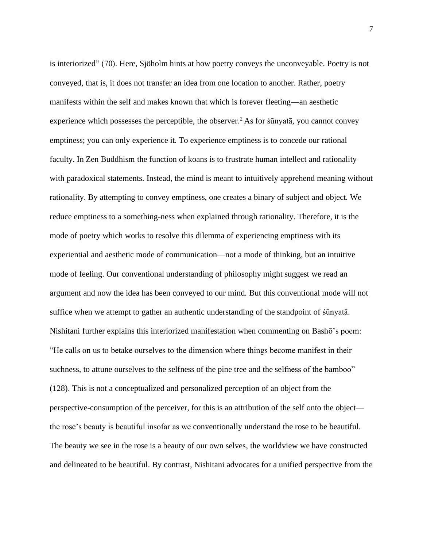is interiorized" (70). Here, Sjöholm hints at how poetry conveys the unconveyable. Poetry is not conveyed, that is, it does not transfer an idea from one location to another. Rather, poetry manifests within the self and makes known that which is forever fleeting—an aesthetic experience which possesses the perceptible, the observer.<sup>2</sup> As for śūnyatā, you cannot convey emptiness; you can only experience it. To experience emptiness is to concede our rational faculty. In Zen Buddhism the function of koans is to frustrate human intellect and rationality with paradoxical statements. Instead, the mind is meant to intuitively apprehend meaning without rationality. By attempting to convey emptiness, one creates a binary of subject and object. We reduce emptiness to a something-ness when explained through rationality. Therefore, it is the mode of poetry which works to resolve this dilemma of experiencing emptiness with its experiential and aesthetic mode of communication—not a mode of thinking, but an intuitive mode of feeling. Our conventional understanding of philosophy might suggest we read an argument and now the idea has been conveyed to our mind. But this conventional mode will not suffice when we attempt to gather an authentic understanding of the standpoint of śūnyatā. Nishitani further explains this interiorized manifestation when commenting on Bashō's poem: "He calls on us to betake ourselves to the dimension where things become manifest in their suchness, to attune ourselves to the selfness of the pine tree and the selfness of the bamboo" (128). This is not a conceptualized and personalized perception of an object from the perspective-consumption of the perceiver, for this is an attribution of the self onto the object the rose's beauty is beautiful insofar as we conventionally understand the rose to be beautiful. The beauty we see in the rose is a beauty of our own selves, the worldview we have constructed and delineated to be beautiful. By contrast, Nishitani advocates for a unified perspective from the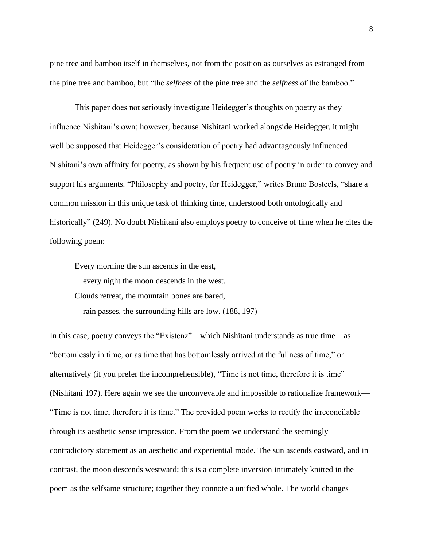pine tree and bamboo itself in themselves, not from the position as ourselves as estranged from the pine tree and bamboo, but "the *selfness* of the pine tree and the *selfness* of the bamboo."

This paper does not seriously investigate Heidegger's thoughts on poetry as they influence Nishitani's own; however, because Nishitani worked alongside Heidegger, it might well be supposed that Heidegger's consideration of poetry had advantageously influenced Nishitani's own affinity for poetry, as shown by his frequent use of poetry in order to convey and support his arguments. "Philosophy and poetry, for Heidegger," writes Bruno Bosteels, "share a common mission in this unique task of thinking time, understood both ontologically and historically" (249). No doubt Nishitani also employs poetry to conceive of time when he cites the following poem:

Every morning the sun ascends in the east, every night the moon descends in the west. Clouds retreat, the mountain bones are bared, rain passes, the surrounding hills are low. (188, 197)

In this case, poetry conveys the "Existenz"—which Nishitani understands as true time—as "bottomlessly in time, or as time that has bottomlessly arrived at the fullness of time," or alternatively (if you prefer the incomprehensible), "Time is not time, therefore it is time" (Nishitani 197). Here again we see the unconveyable and impossible to rationalize framework— "Time is not time, therefore it is time." The provided poem works to rectify the irreconcilable through its aesthetic sense impression. From the poem we understand the seemingly contradictory statement as an aesthetic and experiential mode. The sun ascends eastward, and in contrast, the moon descends westward; this is a complete inversion intimately knitted in the poem as the selfsame structure; together they connote a unified whole. The world changes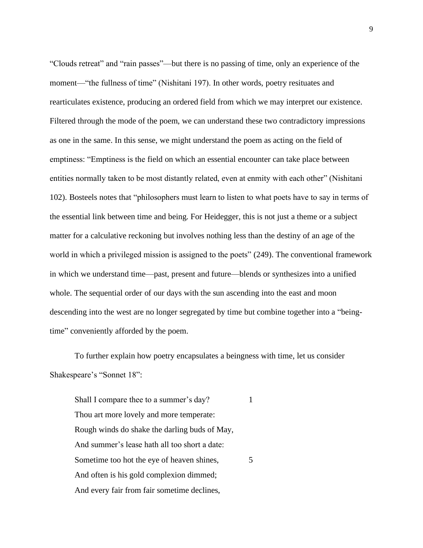"Clouds retreat" and "rain passes"—but there is no passing of time, only an experience of the moment—"the fullness of time" (Nishitani 197). In other words, poetry resituates and rearticulates existence, producing an ordered field from which we may interpret our existence. Filtered through the mode of the poem, we can understand these two contradictory impressions as one in the same. In this sense, we might understand the poem as acting on the field of emptiness: "Emptiness is the field on which an essential encounter can take place between entities normally taken to be most distantly related, even at enmity with each other" (Nishitani 102). Bosteels notes that "philosophers must learn to listen to what poets have to say in terms of the essential link between time and being. For Heidegger, this is not just a theme or a subject matter for a calculative reckoning but involves nothing less than the destiny of an age of the world in which a privileged mission is assigned to the poets" (249). The conventional framework in which we understand time—past, present and future—blends or synthesizes into a unified whole. The sequential order of our days with the sun ascending into the east and moon descending into the west are no longer segregated by time but combine together into a "beingtime" conveniently afforded by the poem.

To further explain how poetry encapsulates a beingness with time, let us consider Shakespeare's "Sonnet 18":

Shall I compare thee to a summer's day? Thou art more lovely and more temperate: Rough winds do shake the darling buds of May, And summer's lease hath all too short a date: Sometime too hot the eye of heaven shines, 5 And often is his gold complexion dimmed; And every fair from fair sometime declines,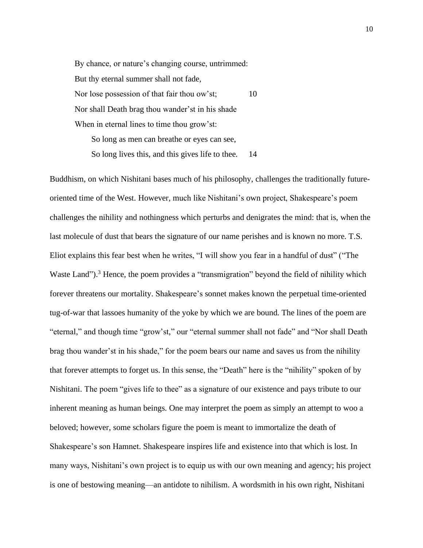By chance, or nature's changing course, untrimmed: But thy eternal summer shall not fade, Nor lose possession of that fair thou ow'st; 10 Nor shall Death brag thou wander'st in his shade When in eternal lines to time thou grow'st: So long as men can breathe or eyes can see,

So long lives this, and this gives life to thee. 14

Buddhism, on which Nishitani bases much of his philosophy, challenges the traditionally futureoriented time of the West. However, much like Nishitani's own project, Shakespeare's poem challenges the nihility and nothingness which perturbs and denigrates the mind: that is, when the last molecule of dust that bears the signature of our name perishes and is known no more. T.S. Eliot explains this fear best when he writes, "I will show you fear in a handful of dust" ("The Waste Land").<sup>3</sup> Hence, the poem provides a "transmigration" beyond the field of nihility which forever threatens our mortality. Shakespeare's sonnet makes known the perpetual time-oriented tug-of-war that lassoes humanity of the yoke by which we are bound. The lines of the poem are "eternal," and though time "grow'st," our "eternal summer shall not fade" and "Nor shall Death brag thou wander'st in his shade," for the poem bears our name and saves us from the nihility that forever attempts to forget us. In this sense, the "Death" here is the "nihility" spoken of by Nishitani. The poem "gives life to thee" as a signature of our existence and pays tribute to our inherent meaning as human beings. One may interpret the poem as simply an attempt to woo a beloved; however, some scholars figure the poem is meant to immortalize the death of Shakespeare's son Hamnet. Shakespeare inspires life and existence into that which is lost. In many ways, Nishitani's own project is to equip us with our own meaning and agency; his project is one of bestowing meaning—an antidote to nihilism. A wordsmith in his own right, Nishitani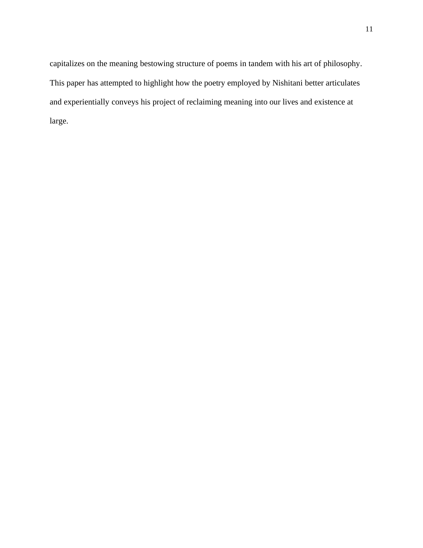capitalizes on the meaning bestowing structure of poems in tandem with his art of philosophy. This paper has attempted to highlight how the poetry employed by Nishitani better articulates and experientially conveys his project of reclaiming meaning into our lives and existence at large.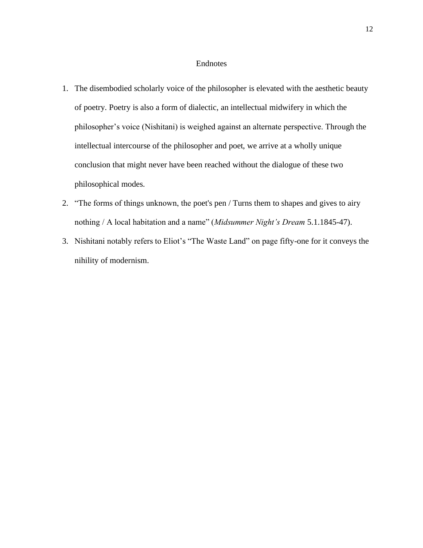### Endnotes

- 1. The disembodied scholarly voice of the philosopher is elevated with the aesthetic beauty of poetry. Poetry is also a form of dialectic, an intellectual midwifery in which the philosopher's voice (Nishitani) is weighed against an alternate perspective. Through the intellectual intercourse of the philosopher and poet, we arrive at a wholly unique conclusion that might never have been reached without the dialogue of these two philosophical modes.
- 2. "The forms of things unknown, the poet's pen / Turns them to shapes and gives to airy nothing / A local habitation and a name" (*Midsummer Night's Dream* 5.1.1845-47).
- 3. Nishitani notably refers to Eliot's "The Waste Land" on page fifty-one for it conveys the nihility of modernism.